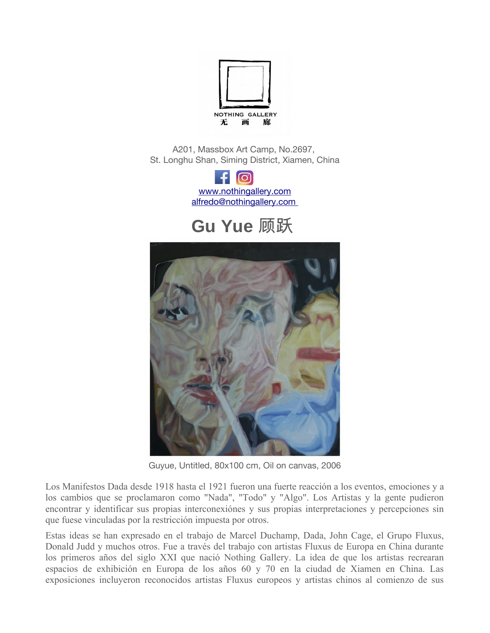

A201, Massbox Art Camp, No.2697, St. Longhu Shan, Siming District, Xiamen, China



# **Gu Yue** 顾跃



Guyue, Untitled, 80x100 cm, Oil on canvas, 2006

Los Manifestos Dada desde 1918 hasta el 1921 fueron una fuerte reacción a los eventos, emociones y a los cambios que se proclamaron como "Nada", "Todo" y "Algo". Los Artistas y la gente pudieron encontrar y identificar sus propias interconexiónes y sus propias interpretaciones y percepciones sin que fuese vinculadas por la restricción impuesta por otros.

Estas ideas se han expresado en el trabajo de Marcel Duchamp, Dada, John Cage, el Grupo Fluxus, Donald Judd y muchos otros. Fue a través del trabajo con artistas Fluxus de Europa en China durante los primeros años del siglo XXI que nació Nothing Gallery. La idea de que los artistas recrearan espacios de exhibición en Europa de los años 60 y 70 en la ciudad de Xiamen en China. Las exposiciones incluyeron reconocidos artistas Fluxus europeos y artistas chinos al comienzo de sus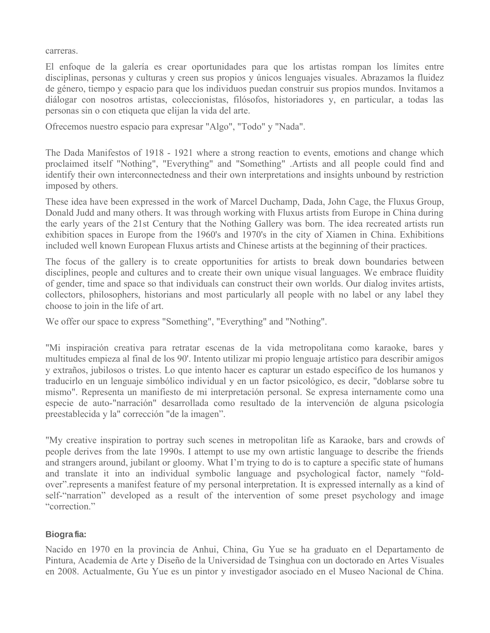carreras.

El enfoque de la galería es crear oportunidades para que los artistas rompan los límites entre disciplinas, personas y culturas y creen sus propios y únicos lenguajes visuales. Abrazamos la fluidez de género, tiempo y espacio para que los individuos puedan construir sus propios mundos. Invitamos a diálogar con nosotros artistas, coleccionistas, filósofos, historiadores y, en particular, a todas las personas sin o con etiqueta que elijan la vida del arte.

Ofrecemos nuestro espacio para expresar "Algo", "Todo" y "Nada".

The Dada Manifestos of 1918 - 1921 where a strong reaction to events, emotions and change which proclaimed itself "Nothing", "Everything" and "Something" .Artists and all people could find and identify their own interconnectedness and their own interpretations and insights unbound by restriction imposed by others.

These idea have been expressed in the work of Marcel Duchamp, Dada, John Cage, the Fluxus Group, Donald Judd and many others. It was through working with Fluxus artists from Europe in China during the early years of the 21st Century that the Nothing Gallery was born. The idea recreated artists run exhibition spaces in Europe from the 1960's and 1970's in the city of Xiamen in China. Exhibitions included well known European Fluxus artists and Chinese artists at the beginning of their practices.

The focus of the gallery is to create opportunities for artists to break down boundaries between disciplines, people and cultures and to create their own unique visual languages. We embrace fluidity of gender, time and space so that individuals can construct their own worlds. Our dialog invites artists, collectors, philosophers, historians and most particularly all people with no label or any label they choose to join in the life of art.

We offer our space to express "Something", "Everything" and "Nothing".

"Mi inspiración creativa para retratar escenas de la vida metropolitana como karaoke, bares y multitudes empieza al final de los 90'. Intento utilizar mi propio lenguaje artístico para describir amigos y extraños, jubilosos o tristes. Lo que intento hacer es capturar un estado específico de los humanos y traducirlo en un lenguaje simbólico individual y en un factor psicológico, es decir, "doblarse sobre tu mismo". Representa un manifiesto de mi interpretación personal. Se expresa internamente como una especie de auto-"narración" desarrollada como resultado de la intervención de alguna psicología preestablecida y la" corrección "de la imagen".

"My creative inspiration to portray such scenes in metropolitan life as Karaoke, bars and crowds of people derives from the late 1990s. I attempt to use my own artistic language to describe the friends and strangers around, jubilant or gloomy. What I'm trying to do is to capture a specific state of humans and translate it into an individual symbolic language and psychological factor, namely "foldover".represents a manifest feature of my personal interpretation. It is expressed internally as a kind of self-"narration" developed as a result of the intervention of some preset psychology and image "correction."

#### **Biografia:**

Nacido en 1970 en la provincia de Anhui, China, Gu Yue se ha graduato en el Departamento de Pintura, Academia de Arte y Diseño de la Universidad de Tsinghua con un doctorado en Artes Visuales en 2008. Actualmente, Gu Yue es un pintor y investigador asociado en el Museo Nacional de China.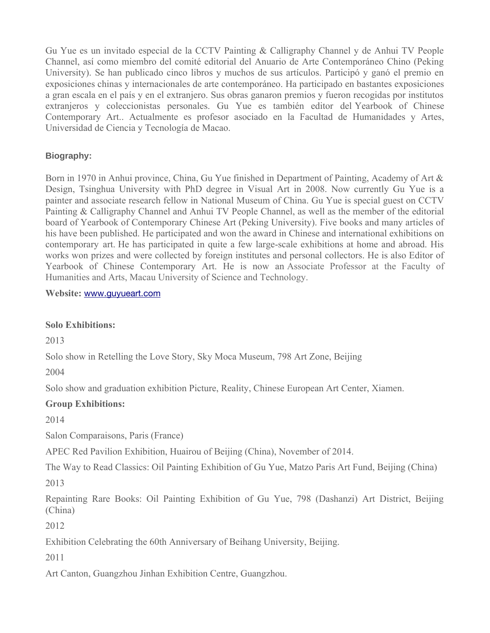Gu Yue es un invitado especial de la CCTV Painting & Calligraphy Channel y de Anhui TV People Channel, así como miembro del comité editorial del Anuario de Arte Contemporáneo Chino (Peking University). Se han publicado cinco libros y muchos de sus artículos. Participó y ganó el premio en exposiciones chinas y internacionales de arte contemporáneo. Ha participado en bastantes exposiciones a gran escala en el país y en el extranjero. Sus obras ganaron premios y fueron recogidas por institutos extranjeros y coleccionistas personales. Gu Yue es también editor del Yearbook of Chinese Contemporary Art.. Actualmente es profesor asociado en la Facultad de Humanidades y Artes, Universidad de Ciencia y Tecnología de Macao.

## **Biography:**

Born in 1970 in Anhui province, China, Gu Yue finished in Department of Painting, Academy of Art & Design, Tsinghua University with PhD degree in Visual Art in 2008. Now currently Gu Yue is a painter and associate research fellow in National Museum of China. Gu Yue is special guest on CCTV Painting & Calligraphy Channel and Anhui TV People Channel, as well as the member of the editorial board of Yearbook of Contemporary Chinese Art (Peking University). Five books and many articles of his have been published. He participated and won the award in Chinese and international exhibitions on contemporary art. He has participated in quite a few large-scale exhibitions at home and abroad. His works won prizes and were collected by foreign institutes and personal collectors. He is also Editor of Yearbook of Chinese Contemporary Art. He is now an Associate Professor at the Faculty of Humanities and Arts, Macau University of Science and Technology.

**Website:** [www.guyueart.com](http://www.guyueart.com/)

#### **Solo Exhibitions:**

2013

Solo show in Retelling the Love Story, Sky Moca Museum, 798 Art Zone, Beijing

2004

Solo show and graduation exhibition Picture, Reality, Chinese European Art Center, Xiamen.

# **Group Exhibitions:**

2014

Salon Comparaisons, Paris (France)

APEC Red Pavilion Exhibition, Huairou of Beijing (China), November of 2014.

The Way to Read Classics: Oil Painting Exhibition of Gu Yue, Matzo Paris Art Fund, Beijing (China)

2013

Repainting Rare Books: Oil Painting Exhibition of Gu Yue, 798 (Dashanzi) Art District, Beijing (China)

2012

Exhibition Celebrating the 60th Anniversary of Beihang University, Beijing.

2011

Art Canton, Guangzhou Jinhan Exhibition Centre, Guangzhou.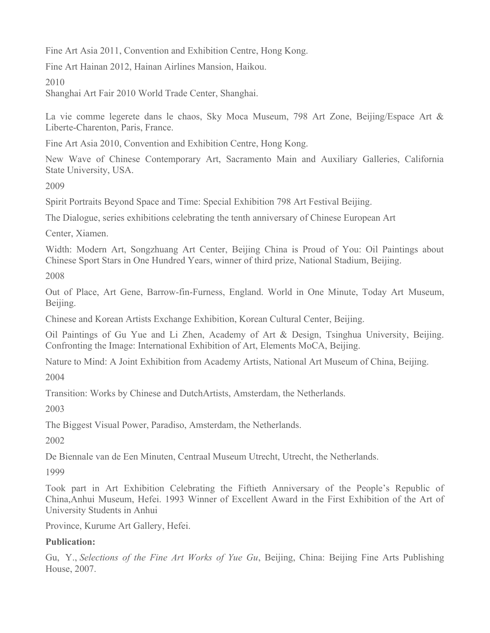Fine Art Asia 2011, Convention and Exhibition Centre, Hong Kong.

Fine Art Hainan 2012, Hainan Airlines Mansion, Haikou.

## 2010

Shanghai Art Fair 2010 World Trade Center, Shanghai.

La vie comme legerete dans le chaos, Sky Moca Museum, 798 Art Zone, Beijing/Espace Art & Liberte-Charenton, Paris, France.

Fine Art Asia 2010, Convention and Exhibition Centre, Hong Kong.

New Wave of Chinese Contemporary Art, Sacramento Main and Auxiliary Galleries, California State University, USA.

2009

Spirit Portraits Beyond Space and Time: Special Exhibition 798 Art Festival Beijing.

The Dialogue, series exhibitions celebrating the tenth anniversary of Chinese European Art

Center, Xiamen.

Width: Modern Art, Songzhuang Art Center, Beijing China is Proud of You: Oil Paintings about Chinese Sport Stars in One Hundred Years, winner of third prize, National Stadium, Beijing.

2008

Out of Place, Art Gene, Barrow-fin-Furness, England. World in One Minute, Today Art Museum, Beijing.

Chinese and Korean Artists Exchange Exhibition, Korean Cultural Center, Beijing.

Oil Paintings of Gu Yue and Li Zhen, Academy of Art & Design, Tsinghua University, Beijing. Confronting the Image: International Exhibition of Art, Elements MoCA, Beijing.

Nature to Mind: A Joint Exhibition from Academy Artists, National Art Museum of China, Beijing.

2004

Transition: Works by Chinese and DutchArtists, Amsterdam, the Netherlands.

2003

The Biggest Visual Power, Paradiso, Amsterdam, the Netherlands.

2002

De Biennale van de Een Minuten, Centraal Museum Utrecht, Utrecht, the Netherlands.

1999

Took part in Art Exhibition Celebrating the Fiftieth Anniversary of the People's Republic of China,Anhui Museum, Hefei. 1993 Winner of Excellent Award in the First Exhibition of the Art of University Students in Anhui

Province, Kurume Art Gallery, Hefei.

# **Publication:**

Gu, Y., *Selections of the Fine Art Works of Yue Gu*, Beijing, China: Beijing Fine Arts Publishing House, 2007.